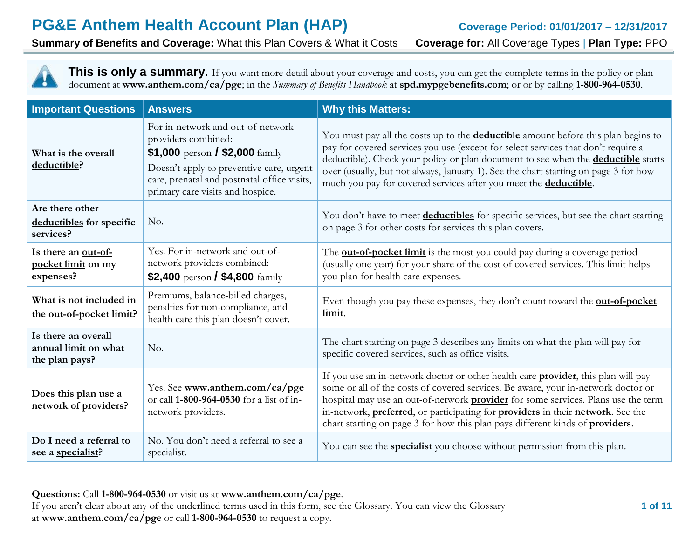**Summary of Benefits and Coverage:** What this Plan Covers & What it Costs **Coverage for:** All Coverage Types | **Plan Type:** PPO

This is only a summary. If you want more detail about your coverage and costs, you can get the complete terms in the policy or plan document at **www.anthem.com/ca/pge**; in the *Summary of Benefits Handbook* at **spd.mypgebenefits.com**; or or by calling **1-800-964-0530**.

| <b>Important Questions</b>                                    | <b>Answers</b>                                                                                                                                                                                                             | <b>Why this Matters:</b>                                                                                                                                                                                                                                                                                                                                                                                                                                              |
|---------------------------------------------------------------|----------------------------------------------------------------------------------------------------------------------------------------------------------------------------------------------------------------------------|-----------------------------------------------------------------------------------------------------------------------------------------------------------------------------------------------------------------------------------------------------------------------------------------------------------------------------------------------------------------------------------------------------------------------------------------------------------------------|
| What is the overall<br>deductible?                            | For in-network and out-of-network<br>providers combined:<br>\$1,000 person / \$2,000 family<br>Doesn't apply to preventive care, urgent<br>care, prenatal and postnatal office visits,<br>primary care visits and hospice. | You must pay all the costs up to the <b>deductible</b> amount before this plan begins to<br>pay for covered services you use (except for select services that don't require a<br>deductible). Check your policy or plan document to see when the <b>deductible</b> starts<br>over (usually, but not always, January 1). See the chart starting on page 3 for how<br>much you pay for covered services after you meet the <b>deductible</b> .                          |
| Are there other<br>deductibles for specific<br>services?      | No.                                                                                                                                                                                                                        | You don't have to meet <b>deductibles</b> for specific services, but see the chart starting<br>on page 3 for other costs for services this plan covers.                                                                                                                                                                                                                                                                                                               |
| Is there an out-of-<br>pocket limit on my<br>expenses?        | Yes. For in-network and out-of-<br>network providers combined:<br>\$2,400 person / \$4,800 family                                                                                                                          | The <b>out-of-pocket limit</b> is the most you could pay during a coverage period<br>(usually one year) for your share of the cost of covered services. This limit helps<br>you plan for health care expenses.                                                                                                                                                                                                                                                        |
| What is not included in<br>the out-of-pocket limit?           | Premiums, balance-billed charges,<br>penalties for non-compliance, and<br>health care this plan doesn't cover.                                                                                                             | Even though you pay these expenses, they don't count toward the <b>out-of-pocket</b><br>limit.                                                                                                                                                                                                                                                                                                                                                                        |
| Is there an overall<br>annual limit on what<br>the plan pays? | No.                                                                                                                                                                                                                        | The chart starting on page 3 describes any limits on what the plan will pay for<br>specific covered services, such as office visits.                                                                                                                                                                                                                                                                                                                                  |
| Does this plan use a<br>network of providers?                 | Yes. See www.anthem.com/ca/pge<br>or call 1-800-964-0530 for a list of in-<br>network providers.                                                                                                                           | If you use an in-network doctor or other health care provider, this plan will pay<br>some or all of the costs of covered services. Be aware, your in-network doctor or<br>hospital may use an out-of-network <b>provider</b> for some services. Plans use the term<br>in-network, <b>preferred</b> , or participating for <b>providers</b> in their <b>network</b> . See the<br>chart starting on page 3 for how this plan pays different kinds of <b>providers</b> . |
| Do I need a referral to<br>see a specialist?                  | No. You don't need a referral to see a<br>specialist.                                                                                                                                                                      | You can see the <b>specialist</b> you choose without permission from this plan.                                                                                                                                                                                                                                                                                                                                                                                       |

**Questions:** Call **1-800-964-0530** or visit us at **www.anthem.com/ca/pge**. If you aren't clear about any of the underlined terms used in this form, see the Glossary. You can view the Glossary

at **www.anthem.com/ca/pge** or call **1-800-964-0530** to request a copy.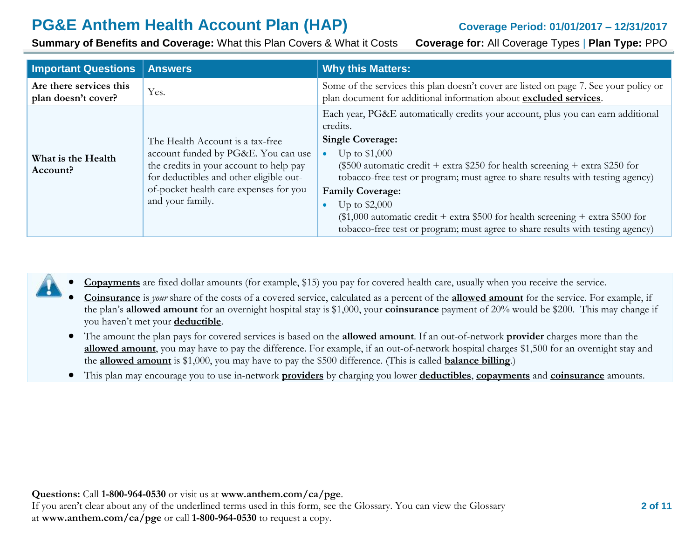**Summary of Benefits and Coverage:** What this Plan Covers & What it Costs **Coverage for:** All Coverage Types | **Plan Type:** PPO

| <b>Important Questions</b>                     | <b>Answers</b>                                                                                          | <b>Why this Matters:</b>                                                                                                                                       |
|------------------------------------------------|---------------------------------------------------------------------------------------------------------|----------------------------------------------------------------------------------------------------------------------------------------------------------------|
| Are there services this<br>plan doesn't cover? | Yes.                                                                                                    | Some of the services this plan doesn't cover are listed on page 7. See your policy or<br>plan document for additional information about excluded services.     |
|                                                |                                                                                                         | Each year, PG&E automatically credits your account, plus you can earn additional<br>credits.                                                                   |
|                                                | The Health Account is a tax-free                                                                        | <b>Single Coverage:</b>                                                                                                                                        |
| What is the Health                             | account funded by PG&E. You can use                                                                     | Up to $$1,000$<br>$\bullet$                                                                                                                                    |
| Account?                                       | the credits in your account to help pay<br>for deductibles and other eligible out-                      | (\$500 automatic credit + extra \$250 for health screening + extra \$250 for<br>tobacco-free test or program; must agree to share results with testing agency) |
|                                                | of-pocket health care expenses for you<br><b>Family Coverage:</b><br>and your family.<br>Up to $$2,000$ |                                                                                                                                                                |
|                                                |                                                                                                         |                                                                                                                                                                |
|                                                |                                                                                                         | $$1,000$ automatic credit + extra \$500 for health screening + extra \$500 for                                                                                 |
|                                                |                                                                                                         | tobacco-free test or program; must agree to share results with testing agency)                                                                                 |

- **Copayments** are fixed dollar amounts (for example, \$15) you pay for covered health care, usually when you receive the service.
- **Coinsurance** is *your* share of the costs of a covered service, calculated as a percent of the **allowed amount** for the service. For example, if the plan's **allowed amount** for an overnight hospital stay is \$1,000, your **coinsurance** payment of 20% would be \$200. This may change if you haven't met your **deductible**.
- The amount the plan pays for covered services is based on the **allowed amount**. If an out-of-network **provider** charges more than the **allowed amount**, you may have to pay the difference. For example, if an out-of-network hospital charges \$1,500 for an overnight stay and the **allowed amount** is \$1,000, you may have to pay the \$500 difference. (This is called **balance billing**.)
- This plan may encourage you to use in-network **providers** by charging you lower **deductibles**, **copayments** and **coinsurance** amounts.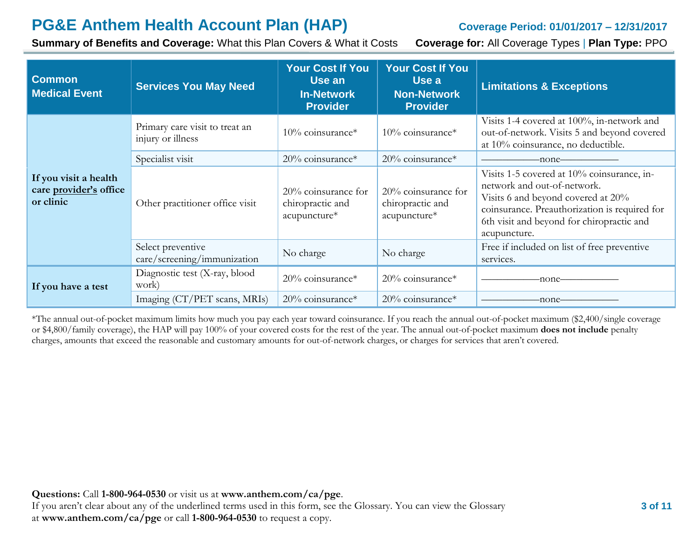**Summary of Benefits and Coverage:** What this Plan Covers & What it Costs **Coverage for:** All Coverage Types | **Plan Type:** PPO

| <b>Common</b><br><b>Medical Event</b>                        | <b>Services You May Need</b>                        | <b>Your Cost If You</b><br>Use an<br><b>In-Network</b><br><b>Provider</b> | <b>Your Cost If You</b><br>Use a<br><b>Non-Network</b><br><b>Provider</b> | <b>Limitations &amp; Exceptions</b>                                                                                                                                                                                           |
|--------------------------------------------------------------|-----------------------------------------------------|---------------------------------------------------------------------------|---------------------------------------------------------------------------|-------------------------------------------------------------------------------------------------------------------------------------------------------------------------------------------------------------------------------|
|                                                              | Primary care visit to treat an<br>injury or illness | 10% coinsurance*                                                          | $10\%$ coinsurance*                                                       | Visits 1-4 covered at 100%, in-network and<br>out-of-network. Visits 5 and beyond covered<br>at 10% coinsurance, no deductible.                                                                                               |
|                                                              | 20% coinsurance*<br>Specialist visit                |                                                                           | 20% coinsurance*                                                          | -none-                                                                                                                                                                                                                        |
| If you visit a health<br>care provider's office<br>or clinic | Other practitioner office visit                     | $20\%$ coinsurance for<br>chiropractic and<br>acupuncture*                | 20% coinsurance for<br>chiropractic and<br>acupuncture*                   | Visits 1-5 covered at 10% coinsurance, in-<br>network and out-of-network.<br>Visits 6 and beyond covered at 20%<br>coinsurance. Preauthorization is required for<br>6th visit and beyond for chiropractic and<br>acupuncture. |
|                                                              | Select preventive<br>care/screening/immunization    | No charge                                                                 | No charge                                                                 | Free if included on list of free preventive<br>services.                                                                                                                                                                      |
| If you have a test                                           | Diagnostic test (X-ray, blood<br>work)              | $20\%$ coinsurance*                                                       | $20\%$ coinsurance*                                                       | -none-                                                                                                                                                                                                                        |
|                                                              | Imaging (CT/PET scans, MRIs)                        | 20% coinsurance*                                                          | $20\%$ coinsurance*                                                       | -none-                                                                                                                                                                                                                        |

\*The annual out-of-pocket maximum limits how much you pay each year toward coinsurance. If you reach the annual out-of-pocket maximum (\$2,400/single coverage or \$4,800/family coverage), the HAP will pay 100% of your covered costs for the rest of the year. The annual out-of-pocket maximum **does not include** penalty charges, amounts that exceed the reasonable and customary amounts for out-of-network charges, or charges for services that aren't covered.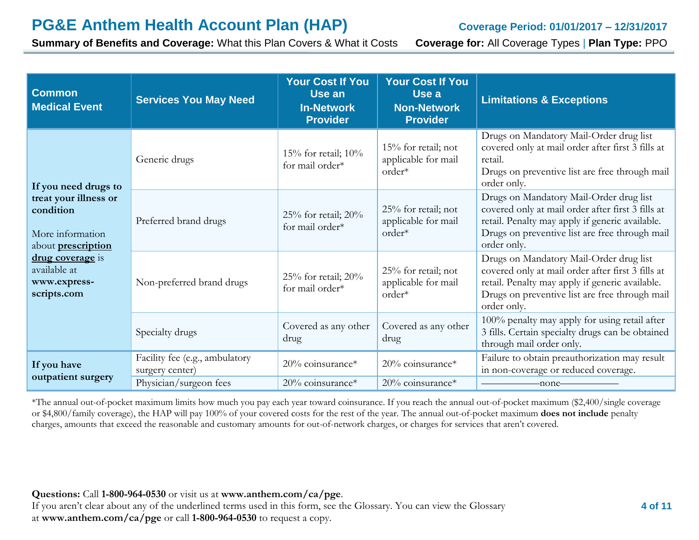**Summary of Benefits and Coverage:** What this Plan Covers & What it Costs **Coverage for:** All Coverage Types | **Plan Type:** PPO

| <b>Common</b><br><b>Medical Event</b>                                               | <b>Services You May Need</b>                      | <b>Your Cost If You</b><br>Use an<br><b>In-Network</b><br><b>Provider</b> | <b>Your Cost If You</b><br>Use a<br><b>Non-Network</b><br><b>Provider</b> | <b>Limitations &amp; Exceptions</b>                                                                                                                                                                              |
|-------------------------------------------------------------------------------------|---------------------------------------------------|---------------------------------------------------------------------------|---------------------------------------------------------------------------|------------------------------------------------------------------------------------------------------------------------------------------------------------------------------------------------------------------|
| If you need drugs to                                                                | Generic drugs                                     | 15% for retail; $10\%$<br>for mail order*                                 | 15% for retail; not<br>applicable for mail<br>order*                      | Drugs on Mandatory Mail-Order drug list<br>covered only at mail order after first 3 fills at<br>retail.<br>Drugs on preventive list are free through mail<br>order only.                                         |
| treat your illness or<br>condition<br>More information<br>about <b>prescription</b> | Preferred brand drugs                             | 25% for retail; $20\%$<br>for mail order*                                 | 25% for retail; not<br>applicable for mail<br>order*                      | Drugs on Mandatory Mail-Order drug list<br>covered only at mail order after first 3 fills at<br>retail. Penalty may apply if generic available.<br>Drugs on preventive list are free through mail<br>order only. |
| drug coverage is<br>available at<br>www.express-<br>scripts.com                     | Non-preferred brand drugs                         | 25% for retail; $20\%$<br>for mail order*                                 | 25% for retail; not<br>applicable for mail<br>order*                      | Drugs on Mandatory Mail-Order drug list<br>covered only at mail order after first 3 fills at<br>retail. Penalty may apply if generic available.<br>Drugs on preventive list are free through mail<br>order only. |
|                                                                                     | Specialty drugs                                   | Covered as any other<br>drug                                              | Covered as any other<br>drug                                              | 100% penalty may apply for using retail after<br>3 fills. Certain specialty drugs can be obtained<br>through mail order only.                                                                                    |
| If you have                                                                         | Facility fee (e.g., ambulatory<br>surgery center) | $20\%$ coinsurance*                                                       | 20% coinsurance*                                                          | Failure to obtain preauthorization may result<br>in non-coverage or reduced coverage.                                                                                                                            |
| outpatient surgery                                                                  | Physician/surgeon fees                            | 20% coinsurance*                                                          | 20% coinsurance*                                                          | $\leftarrow$ none $\leftarrow$                                                                                                                                                                                   |

\*The annual out-of-pocket maximum limits how much you pay each year toward coinsurance. If you reach the annual out-of-pocket maximum (\$2,400/single coverage or \$4,800/family coverage), the HAP will pay 100% of your covered costs for the rest of the year. The annual out-of-pocket maximum **does not include** penalty charges, amounts that exceed the reasonable and customary amounts for out-of-network charges, or charges for services that aren't covered.

**Questions:** Call **1-800-964-0530** or visit us at **www.anthem.com/ca/pge**.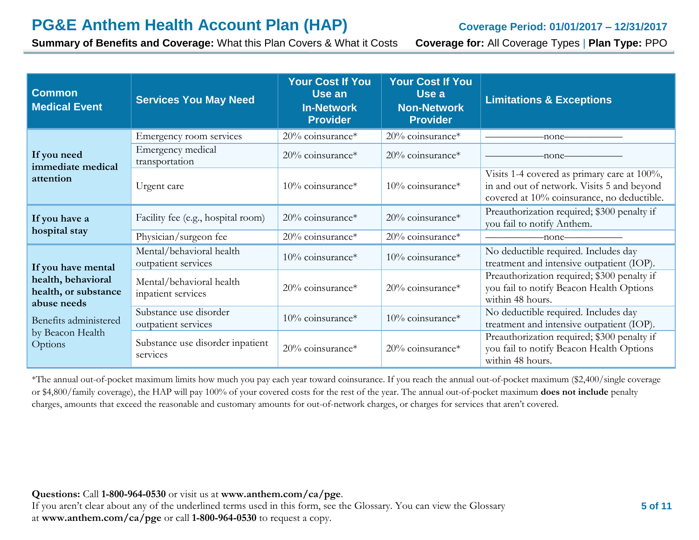**Summary of Benefits and Coverage:** What this Plan Covers & What it Costs **Coverage for:** All Coverage Types | **Plan Type:** PPO

| <b>Common</b><br><b>Medical Event</b>                     | <b>Services You May Need</b>                    | <b>Your Cost If You</b><br>Use an<br><b>In-Network</b><br><b>Provider</b> | <b>Your Cost If You</b><br>Use a<br><b>Non-Network</b><br><b>Provider</b> | <b>Limitations &amp; Exceptions</b>                                                                                                     |
|-----------------------------------------------------------|-------------------------------------------------|---------------------------------------------------------------------------|---------------------------------------------------------------------------|-----------------------------------------------------------------------------------------------------------------------------------------|
|                                                           | Emergency room services                         | 20% coinsurance*                                                          | $20\%$ coinsurance*                                                       | -none-                                                                                                                                  |
| If you need<br>immediate medical                          | Emergency medical<br>transportation             | $20\%$ coinsurance*                                                       | $20\%$ coinsurance*                                                       | -none-                                                                                                                                  |
| attention                                                 | Urgent care                                     | $10\%$ coinsurance*                                                       | $10\%$ coinsurance*                                                       | Visits 1-4 covered as primary care at 100%,<br>in and out of network. Visits 5 and beyond<br>covered at 10% coinsurance, no deductible. |
| If you have a                                             | Facility fee (e.g., hospital room)              | 20% coinsurance*                                                          | 20% coinsurance*                                                          | Preauthorization required; \$300 penalty if<br>you fail to notify Anthem.                                                               |
| hospital stay                                             | Physician/surgeon fee                           | 20% coinsurance*                                                          | 20% coinsurance*                                                          | -none-                                                                                                                                  |
| If you have mental                                        | Mental/behavioral health<br>outpatient services | $10\%$ coinsurance*                                                       | $10\%$ coinsurance*                                                       | No deductible required. Includes day<br>treatment and intensive outpatient (IOP).                                                       |
| health, behavioral<br>health, or substance<br>abuse needs | Mental/behavioral health<br>inpatient services  | $20\%$ coinsurance*                                                       | 20% coinsurance*                                                          | Preauthorization required; \$300 penalty if<br>you fail to notify Beacon Health Options<br>within 48 hours.                             |
| Benefits administered                                     | Substance use disorder<br>outpatient services   | 10% coinsurance*                                                          | $10\%$ coinsurance*                                                       | No deductible required. Includes day<br>treatment and intensive outpatient (IOP).                                                       |
| by Beacon Health<br>Options                               | Substance use disorder inpatient<br>services    | 20% coinsurance*                                                          | $20\%$ coinsurance*                                                       | Preauthorization required; \$300 penalty if<br>you fail to notify Beacon Health Options<br>within 48 hours.                             |

\*The annual out-of-pocket maximum limits how much you pay each year toward coinsurance. If you reach the annual out-of-pocket maximum (\$2,400/single coverage or \$4,800/family coverage), the HAP will pay 100% of your covered costs for the rest of the year. The annual out-of-pocket maximum **does not include** penalty charges, amounts that exceed the reasonable and customary amounts for out-of-network charges, or charges for services that aren't covered.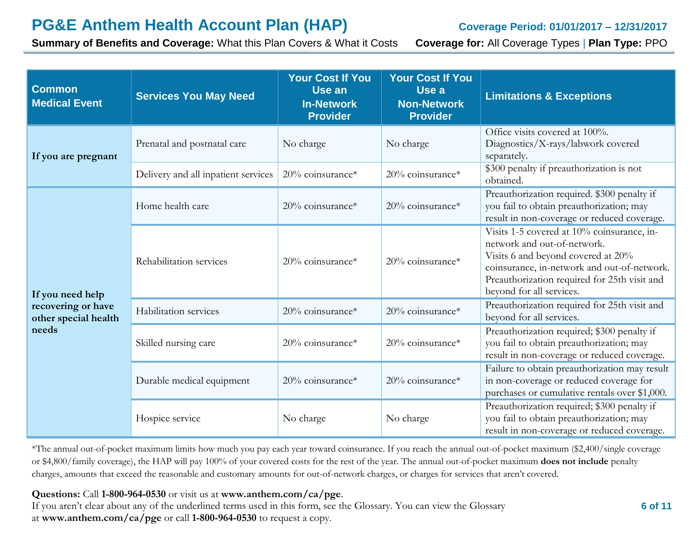**Summary of Benefits and Coverage:** What this Plan Covers & What it Costs **Coverage for:** All Coverage Types | **Plan Type:** PPO

| <b>Common</b><br><b>Medical Event</b>               | <b>Services You May Need</b>        | <b>Your Cost If You</b><br>Use an<br><b>In-Network</b><br><b>Provider</b> | <b>Your Cost If You</b><br>Use a<br><b>Non-Network</b><br><b>Provider</b> | <b>Limitations &amp; Exceptions</b>                                                                                                                                                                                                        |
|-----------------------------------------------------|-------------------------------------|---------------------------------------------------------------------------|---------------------------------------------------------------------------|--------------------------------------------------------------------------------------------------------------------------------------------------------------------------------------------------------------------------------------------|
| If you are pregnant                                 | Prenatal and postnatal care         | No charge                                                                 | No charge                                                                 | Office visits covered at 100%.<br>Diagnostics/X-rays/labwork covered<br>separately.                                                                                                                                                        |
|                                                     | Delivery and all inpatient services | 20% coinsurance*                                                          | 20% coinsurance*                                                          | \$300 penalty if preauthorization is not<br>obtained.                                                                                                                                                                                      |
|                                                     | Home health care                    | 20% coinsurance*                                                          | 20% coinsurance*                                                          | Preauthorization required. \$300 penalty if<br>you fail to obtain preauthorization; may<br>result in non-coverage or reduced coverage.                                                                                                     |
| If you need help                                    | Rehabilitation services             | 20% coinsurance*                                                          | 20% coinsurance*                                                          | Visits 1-5 covered at 10% coinsurance, in-<br>network and out-of-network.<br>Visits 6 and beyond covered at 20%<br>coinsurance, in-network and out-of-network.<br>Preauthorization required for 25th visit and<br>beyond for all services. |
| recovering or have<br>other special health<br>needs | Habilitation services               | 20% coinsurance*                                                          | 20% coinsurance*                                                          | Preauthorization required for 25th visit and<br>beyond for all services.                                                                                                                                                                   |
|                                                     | Skilled nursing care                | 20% coinsurance*                                                          | 20% coinsurance*                                                          | Preauthorization required; \$300 penalty if<br>you fail to obtain preauthorization; may<br>result in non-coverage or reduced coverage.                                                                                                     |
|                                                     | Durable medical equipment           | $20\%$ coinsurance*                                                       | 20% coinsurance*                                                          | Failure to obtain preauthorization may result<br>in non-coverage or reduced coverage for<br>purchases or cumulative rentals over \$1,000.                                                                                                  |
|                                                     | Hospice service                     | No charge                                                                 | No charge                                                                 | Preauthorization required; \$300 penalty if<br>you fail to obtain preauthorization; may<br>result in non-coverage or reduced coverage.                                                                                                     |

\*The annual out-of-pocket maximum limits how much you pay each year toward coinsurance. If you reach the annual out-of-pocket maximum (\$2,400/single coverage or \$4,800/family coverage), the HAP will pay 100% of your covered costs for the rest of the year. The annual out-of-pocket maximum **does not include** penalty charges, amounts that exceed the reasonable and customary amounts for out-of-network charges, or charges for services that aren't covered.

**Questions:** Call **1-800-964-0530** or visit us at **www.anthem.com/ca/pge**.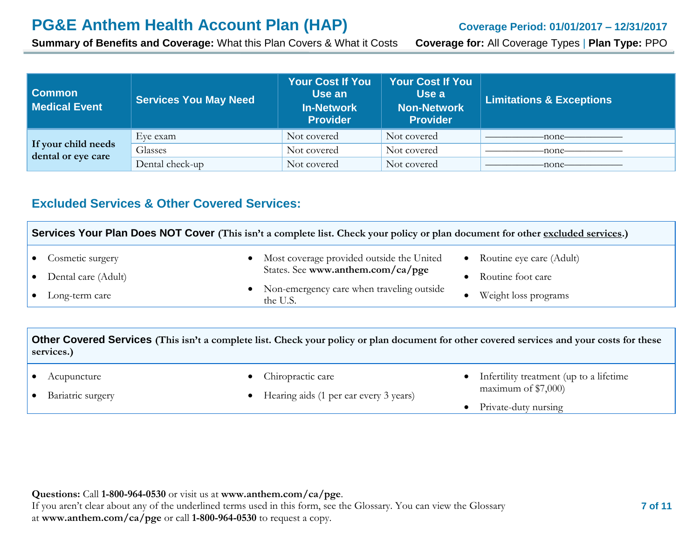**Summary of Benefits and Coverage:** What this Plan Covers & What it Costs **Coverage for:** All Coverage Types | **Plan Type:** PPO

| <b>Common</b><br><b>Medical Event</b>     | <b>Services You May Need</b> | <b>Your Cost If You</b><br>Use an<br><b>In-Network</b><br><b>Provider</b> | <b>Your Cost If You</b><br>Use a<br>Non-Network<br><b>Provider</b> | <b>Limitations &amp; Exceptions</b> |
|-------------------------------------------|------------------------------|---------------------------------------------------------------------------|--------------------------------------------------------------------|-------------------------------------|
|                                           | Eve exam                     | Not covered                                                               | Not covered                                                        | -none-                              |
| If your child needs<br>dental or eye care | Glasses                      | Not covered                                                               | Not covered                                                        | -none-                              |
|                                           | Dental check-up              | Not covered                                                               | Not covered                                                        | -none-                              |

### **Excluded Services & Other Covered Services:**

| Services Your Plan Does NOT Cover (This isn't a complete list. Check your policy or plan document for other excluded services.) |  |                                                         |  |                            |
|---------------------------------------------------------------------------------------------------------------------------------|--|---------------------------------------------------------|--|----------------------------|
| • Cosmetic surgery                                                                                                              |  | • Most coverage provided outside the United             |  | • Routine eye care (Adult) |
| • Dental care (Adult)                                                                                                           |  | States. See www.anthem.com/ca/pge                       |  | Routine foot care          |
| $\bullet$ Long-term care                                                                                                        |  | • Non-emergency care when traveling outside<br>the U.S. |  | Weight loss programs       |

**Other Covered Services (This isn't a complete list. Check your policy or plan document for other covered services and your costs for these services.)**

|  | Acupuncture |
|--|-------------|
|--|-------------|

• Bariatric surgery

- Chiropractic care
- Hearing aids (1 per ear every 3 years)
- Infertility treatment (up to a lifetime maximum of \$7,000)
- Private-duty nursing

**Questions:** Call **1-800-964-0530** or visit us at **www.anthem.com/ca/pge**. If you aren't clear about any of the underlined terms used in this form, see the Glossary. You can view the Glossary at **www.anthem.com/ca/pge** or call **1-800-964-0530** to request a copy.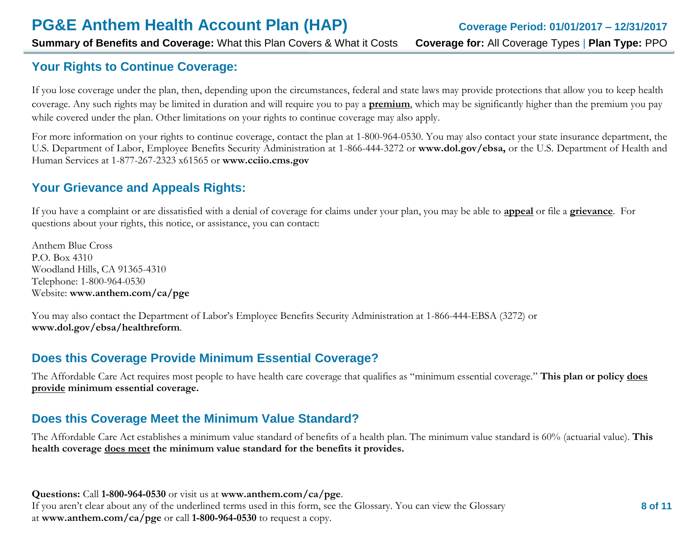**Summary of Benefits and Coverage:** What this Plan Covers & What it Costs **Coverage for:** All Coverage Types | **Plan Type:** PPO

# **Your Rights to Continue Coverage:**

If you lose coverage under the plan, then, depending upon the circumstances, federal and state laws may provide protections that allow you to keep health coverage. Any such rights may be limited in duration and will require you to pay a **premium**, which may be significantly higher than the premium you pay while covered under the plan. Other limitations on your rights to continue coverage may also apply.

For more information on your rights to continue coverage, contact the plan at 1-800-964-0530. You may also contact your state insurance department, the U.S. Department of Labor, Employee Benefits Security Administration at 1-866-444-3272 or **[www.dol.gov/ebsa,](http://www.dol.gov/ebsa)** or the U.S. Department of Health and Human Services at 1-877-267-2323 x61565 or **[www.cciio.cms.gov](http://www.cciio.cms.gov/)**

# **Your Grievance and Appeals Rights:**

If you have a complaint or are dissatisfied with a denial of coverage for claims under your plan, you may be able to **appeal** or file a **grievance**. For questions about your rights, this notice, or assistance, you can contact:

Anthem Blue Cross P.O. Box 4310 Woodland Hills, CA 91365-4310 Telephone: 1-800-964-0530 Website: **[www.anthem.com/ca/pge](http://www.anthem.com/ca/pge)**

You may also contact the Department of Labor's Employee Benefits Security Administration at 1-866-444-EBSA (3272) or **[www.dol.gov/ebsa/healthreform](http://www.dol.gov/ebsa/healthreform)**.

### **Does this Coverage Provide Minimum Essential Coverage?**

The Affordable Care Act requires most people to have health care coverage that qualifies as "minimum essential coverage." **This plan or policy does provide minimum essential coverage.** 

# **Does this Coverage Meet the Minimum Value Standard?**

The Affordable Care Act establishes a minimum value standard of benefits of a health plan. The minimum value standard is 60% (actuarial value). **This health coverage does meet the minimum value standard for the benefits it provides.** 

**Questions:** Call **1-800-964-0530** or visit us at **www.anthem.com/ca/pge**. If you aren't clear about any of the underlined terms used in this form, see the Glossary. You can view the Glossary at **www.anthem.com/ca/pge** or call **1-800-964-0530** to request a copy.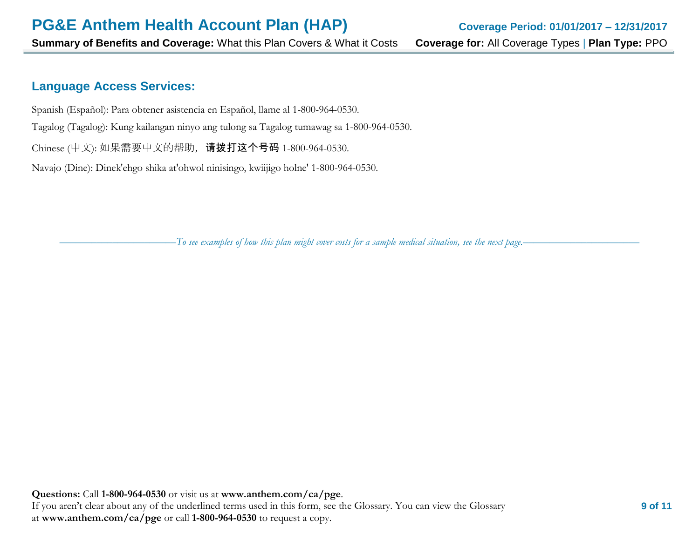### **Language Access Services:**

Spanish (Español): Para obtener asistencia en Español, llame al 1-800-964-0530.

Tagalog (Tagalog): Kung kailangan ninyo ang tulong sa Tagalog tumawag sa 1-800-964-0530.

Chinese (中文): 如果需要中文的帮助, 请拨打这个号码 1-800-964-0530.

Navajo (Dine): Dinek'ehgo shika at'ohwol ninisingo, kwiijigo holne' 1-800-964-0530.

––––––––––––––––––––––*To see examples of how this plan might cover costs for a sample medical situation, see the next page.–––––––––––*–––––––––––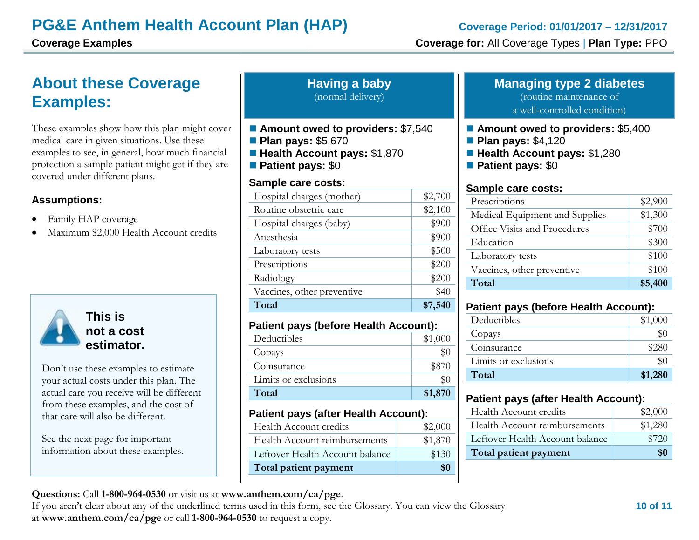# **About these Coverage Examples:**

These examples show how this plan might cover medical care in given situations. Use these examples to see, in general, how much financial protection a sample patient might get if they are covered under different plans.

#### **Assumptions:**

- Family HAP coverage
- Maximum \$2,000 Health Account credits



Don't use these examples to estimate your actual costs under this plan. The actual care you receive will be different from these examples, and the cost of that care will also be different.

See the next page for important information about these examples.

| <b>Having a baby</b> |                   |
|----------------------|-------------------|
|                      | (normal delivery) |

- Amount owed to providers: \$7,540
- **Plan pays: \$5,670**
- **Health Account pays:** \$1,870
- **Patient pays:** \$0

#### **Sample care costs:**

| Hospital charges (mother)  | \$2,700 |
|----------------------------|---------|
| Routine obstetric care     | \$2,100 |
| Hospital charges (baby)    | \$900   |
| Anesthesia                 | \$900   |
| Laboratory tests           | \$500   |
| Prescriptions              | \$200   |
| Radiology                  | \$200   |
| Vaccines, other preventive | \$40    |
| Total                      | \$7,540 |

#### **Patient pays (before Health Account):**

| Deductibles          | \$1,000 |
|----------------------|---------|
| Copays               |         |
| Coinsurance          | \$870   |
| Limits or exclusions |         |
| Total                | \$1,870 |
|                      |         |

#### **Patient pays (after Health Account):**

| Health Account credits          | \$2,000 |
|---------------------------------|---------|
| Health Account reimbursements   | \$1,870 |
| Leftover Health Account balance | \$130   |
| Total patient payment           | \$0     |

# **Managing type 2 diabetes**

(routine maintenance of

a well-controlled condition)

- Amount owed to providers: \$5,400
- **Plan pays: \$4,120**
- **Health Account pays:** \$1,280
- **Patient pays:** \$0

#### **Sample care costs:**

| Prescriptions                  | \$2,900 |
|--------------------------------|---------|
| Medical Equipment and Supplies | \$1,300 |
| Office Visits and Procedures   | \$700   |
| Education                      | \$300   |
| Laboratory tests               | \$100   |
| Vaccines, other preventive     | \$100   |
| Total                          | \$5,400 |

#### **Patient pays (before Health Account):**

| Deductibles          | \$1,000 |
|----------------------|---------|
| Copays               | \$0     |
| Coinsurance          | \$280   |
| Limits or exclusions | \$0     |
| Total                | \$1,280 |

### **Patient pays (after Health Account):**

| Health Account credits          | \$2,000 |
|---------------------------------|---------|
| Health Account reimbursements   | \$1,280 |
| Leftover Health Account balance | \$720   |
| Total patient payment           | \$0     |

### **Questions:** Call **1-800-964-0530** or visit us at **www.anthem.com/ca/pge**.